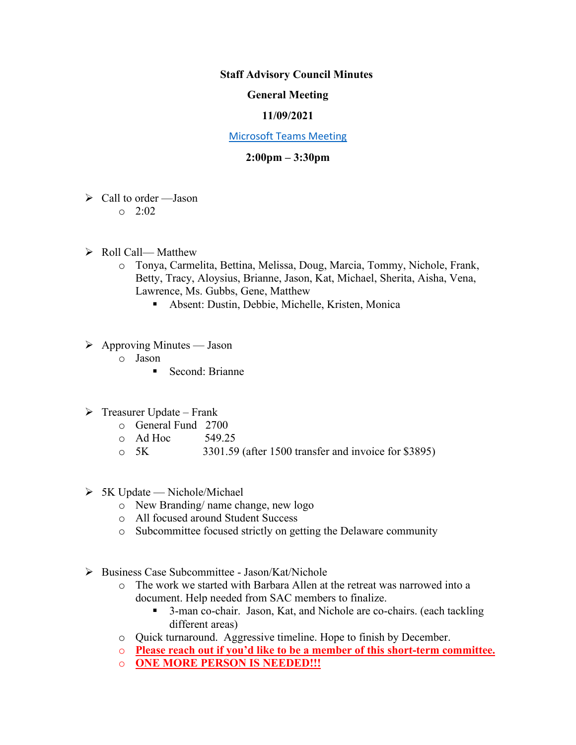**Staff Advisory Council Minutes** 

## **General Meeting**

## **11/09/2021**

## [Microsoft Teams Meeting](https://nam05.safelinks.protection.outlook.com/ap/t-59584e83/?url=https%3A%2F%2Fteams.microsoft.com%2Fl%2Fmeetup-join%2F19%253ameeting_MzkxMmQzZTYtNGNiMi00YTJjLWI3MTMtOTlhMmNmOTE4Zjhj%2540thread.v2%2F0%3Fcontext%3D%257b%2522Tid%2522%253a%252260a9d377-c827-41a1-bbf0-1aad34db4c89%2522%252c%2522Oid%2522%253a%2522d493b17b-9cb3-43b8-b2df-d22f32aad747%2522%257d&data=02%7C01%7Cakienee1%40cscc.edu%7Cd9d721b99f4d408c215208d7647bc8db%7C60a9d377c82741a1bbf01aad34db4c89%7C0%7C0%7C637088355127916457&sdata=hlB7BeFFj4%2Fu5SHTbph%2BpYbfXevGFZ5zd4DxSsQlyzY%3D&reserved=0)

## **2:00pm – 3:30pm**

- $\triangleright$  Call to order Jason
	- $0.2:02$
- ➢ Roll Call— Matthew
	- o Tonya, Carmelita, Bettina, Melissa, Doug, Marcia, Tommy, Nichole, Frank, Betty, Tracy, Aloysius, Brianne, Jason, Kat, Michael, Sherita, Aisha, Vena, Lawrence, Ms. Gubbs, Gene, Matthew
		- Absent: Dustin, Debbie, Michelle, Kristen, Monica
- $\triangleright$  Approving Minutes Jason
	- o Jason
		- Second: Brianne
- $\triangleright$  Treasurer Update Frank
	- o General Fund 2700
	- $O$  Ad Hoc  $549.25$
	- o 5K 3301.59 (after 1500 transfer and invoice for \$3895)
- $> 5K$  Update Nichole/Michael
	- o New Branding/ name change, new logo
	- o All focused around Student Success
	- o Subcommittee focused strictly on getting the Delaware community
- ➢ Business Case Subcommittee Jason/Kat/Nichole
	- o The work we started with Barbara Allen at the retreat was narrowed into a document. Help needed from SAC members to finalize.
		- 3-man co-chair. Jason, Kat, and Nichole are co-chairs. (each tackling different areas)
	- o Quick turnaround. Aggressive timeline. Hope to finish by December.
	- o **Please reach out if you'd like to be a member of this short-term committee.**
	- o **ONE MORE PERSON IS NEEDED!!!**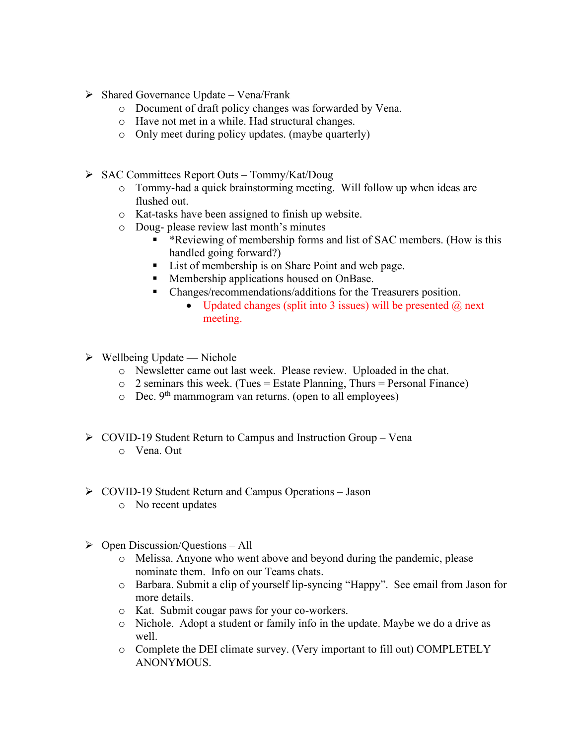- $\triangleright$  Shared Governance Update Vena/Frank
	- o Document of draft policy changes was forwarded by Vena.
	- o Have not met in a while. Had structural changes.
	- o Only meet during policy updates. (maybe quarterly)
- ➢ SAC Committees Report Outs Tommy/Kat/Doug
	- o Tommy-had a quick brainstorming meeting. Will follow up when ideas are flushed out.
	- o Kat-tasks have been assigned to finish up website.
	- o Doug- please review last month's minutes
		- \*Reviewing of membership forms and list of SAC members. (How is this handled going forward?)
		- List of membership is on Share Point and web page.
		- Membership applications housed on OnBase.
		- Changes/recommendations/additions for the Treasurers position.
			- Updated changes (split into 3 issues) will be presented  $\omega$  next meeting.
- $\triangleright$  Wellbeing Update Nichole
	- o Newsletter came out last week. Please review. Uploaded in the chat.
	- $\circ$  2 seminars this week. (Tues = Estate Planning, Thurs = Personal Finance)
	- $\circ$  Dec. 9<sup>th</sup> mammogram van returns. (open to all employees)
- ➢ COVID-19 Student Return to Campus and Instruction Group Vena
	- o Vena. Out
- ➢ COVID-19 Student Return and Campus Operations Jason
	- o No recent updates
- $\triangleright$  Open Discussion/Ouestions All
	- o Melissa. Anyone who went above and beyond during the pandemic, please nominate them. Info on our Teams chats.
	- o Barbara. Submit a clip of yourself lip-syncing "Happy". See email from Jason for more details.
	- o Kat. Submit cougar paws for your co-workers.
	- o Nichole. Adopt a student or family info in the update. Maybe we do a drive as well.
	- o Complete the DEI climate survey. (Very important to fill out) COMPLETELY ANONYMOUS.